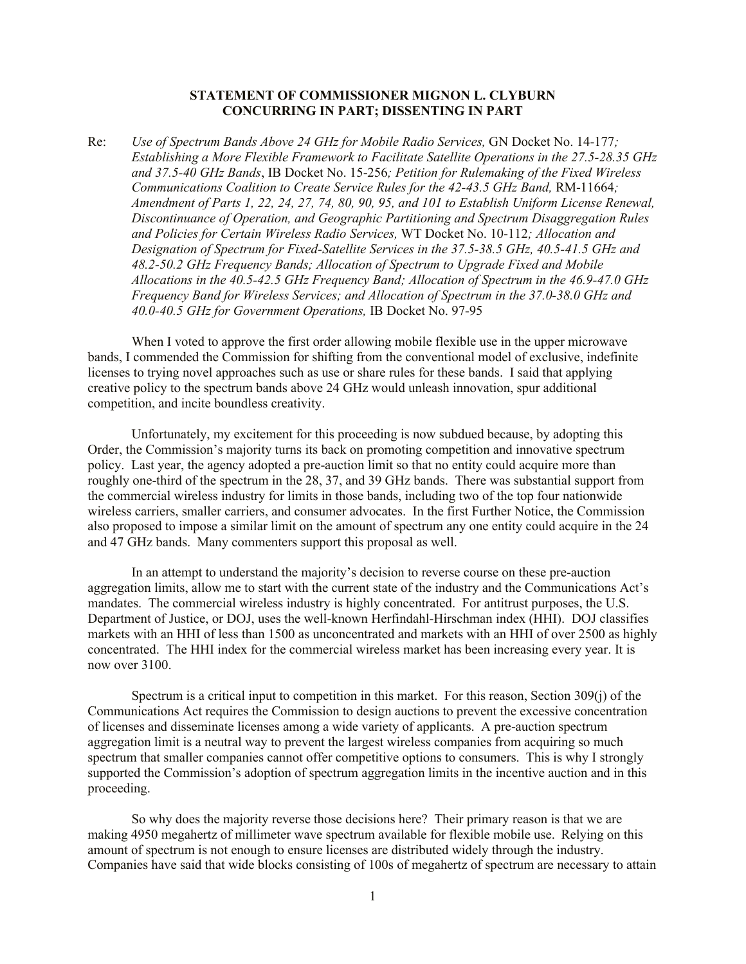## **STATEMENT OF COMMISSIONER MIGNON L. CLYBURN CONCURRING IN PART; DISSENTING IN PART**

Re: *Use of Spectrum Bands Above 24 GHz for Mobile Radio Services,* GN Docket No. 14-177*; Establishing a More Flexible Framework to Facilitate Satellite Operations in the 27.5-28.35 GHz and 37.5-40 GHz Bands*, IB Docket No. 15-256*; Petition for Rulemaking of the Fixed Wireless Communications Coalition to Create Service Rules for the 42-43.5 GHz Band, RM-11664; Amendment of Parts 1, 22, 24, 27, 74, 80, 90, 95, and 101 to Establish Uniform License Renewal, Discontinuance of Operation, and Geographic Partitioning and Spectrum Disaggregation Rules and Policies for Certain Wireless Radio Services,* WT Docket No. 10-112*; Allocation and Designation of Spectrum for Fixed-Satellite Services in the 37.5-38.5 GHz, 40.5-41.5 GHz and 48.2-50.2 GHz Frequency Bands; Allocation of Spectrum to Upgrade Fixed and Mobile Allocations in the 40.5-42.5 GHz Frequency Band; Allocation of Spectrum in the 46.9-47.0 GHz Frequency Band for Wireless Services; and Allocation of Spectrum in the 37.0-38.0 GHz and 40.0-40.5 GHz for Government Operations,* IB Docket No. 97-95

When I voted to approve the first order allowing mobile flexible use in the upper microwave bands, I commended the Commission for shifting from the conventional model of exclusive, indefinite licenses to trying novel approaches such as use or share rules for these bands. I said that applying creative policy to the spectrum bands above 24 GHz would unleash innovation, spur additional competition, and incite boundless creativity.

Unfortunately, my excitement for this proceeding is now subdued because, by adopting this Order, the Commission's majority turns its back on promoting competition and innovative spectrum policy. Last year, the agency adopted a pre-auction limit so that no entity could acquire more than roughly one-third of the spectrum in the 28, 37, and 39 GHz bands. There was substantial support from the commercial wireless industry for limits in those bands, including two of the top four nationwide wireless carriers, smaller carriers, and consumer advocates. In the first Further Notice, the Commission also proposed to impose a similar limit on the amount of spectrum any one entity could acquire in the 24 and 47 GHz bands. Many commenters support this proposal as well.

In an attempt to understand the majority's decision to reverse course on these pre-auction aggregation limits, allow me to start with the current state of the industry and the Communications Act's mandates. The commercial wireless industry is highly concentrated. For antitrust purposes, the U.S. Department of Justice, or DOJ, uses the well-known Herfindahl-Hirschman index (HHI). DOJ classifies markets with an HHI of less than 1500 as unconcentrated and markets with an HHI of over 2500 as highly concentrated. The HHI index for the commercial wireless market has been increasing every year. It is now over 3100.

Spectrum is a critical input to competition in this market. For this reason, Section 309(j) of the Communications Act requires the Commission to design auctions to prevent the excessive concentration of licenses and disseminate licenses among a wide variety of applicants. A pre-auction spectrum aggregation limit is a neutral way to prevent the largest wireless companies from acquiring so much spectrum that smaller companies cannot offer competitive options to consumers. This is why I strongly supported the Commission's adoption of spectrum aggregation limits in the incentive auction and in this proceeding.

So why does the majority reverse those decisions here? Their primary reason is that we are making 4950 megahertz of millimeter wave spectrum available for flexible mobile use. Relying on this amount of spectrum is not enough to ensure licenses are distributed widely through the industry. Companies have said that wide blocks consisting of 100s of megahertz of spectrum are necessary to attain